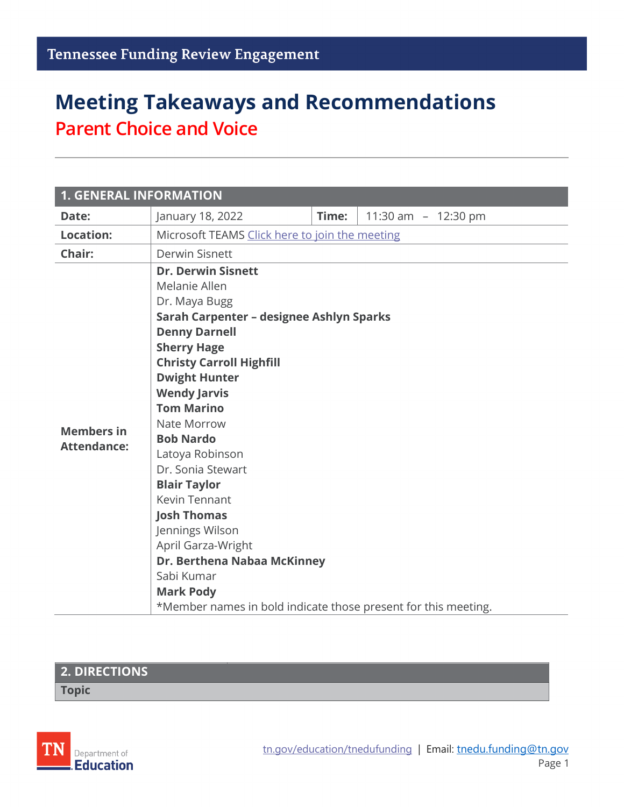# **Meeting Takeaways and Recommendations Parent Choice and Voice**

| <b>1. GENERAL INFORMATION</b>           |                                                                                                                                                                                                                                                                                                                                                                                                                                                                                                                                                                                          |       |                     |  |  |
|-----------------------------------------|------------------------------------------------------------------------------------------------------------------------------------------------------------------------------------------------------------------------------------------------------------------------------------------------------------------------------------------------------------------------------------------------------------------------------------------------------------------------------------------------------------------------------------------------------------------------------------------|-------|---------------------|--|--|
| Date:                                   | January 18, 2022                                                                                                                                                                                                                                                                                                                                                                                                                                                                                                                                                                         | Time: | 11:30 am - 12:30 pm |  |  |
| <b>Location:</b>                        | Microsoft TEAMS Click here to join the meeting                                                                                                                                                                                                                                                                                                                                                                                                                                                                                                                                           |       |                     |  |  |
| Chair:                                  | <b>Derwin Sisnett</b>                                                                                                                                                                                                                                                                                                                                                                                                                                                                                                                                                                    |       |                     |  |  |
| <b>Members in</b><br><b>Attendance:</b> | <b>Dr. Derwin Sisnett</b><br>Melanie Allen<br>Dr. Maya Bugg<br>Sarah Carpenter - designee Ashlyn Sparks<br><b>Denny Darnell</b><br><b>Sherry Hage</b><br><b>Christy Carroll Highfill</b><br><b>Dwight Hunter</b><br><b>Wendy Jarvis</b><br><b>Tom Marino</b><br>Nate Morrow<br><b>Bob Nardo</b><br>Latoya Robinson<br>Dr. Sonia Stewart<br><b>Blair Taylor</b><br><b>Kevin Tennant</b><br><b>Josh Thomas</b><br>Jennings Wilson<br>April Garza-Wright<br>Dr. Berthena Nabaa McKinney<br>Sabi Kumar<br><b>Mark Pody</b><br>*Member names in bold indicate those present for this meeting. |       |                     |  |  |

#### **2. DIRECTIONS Topic**

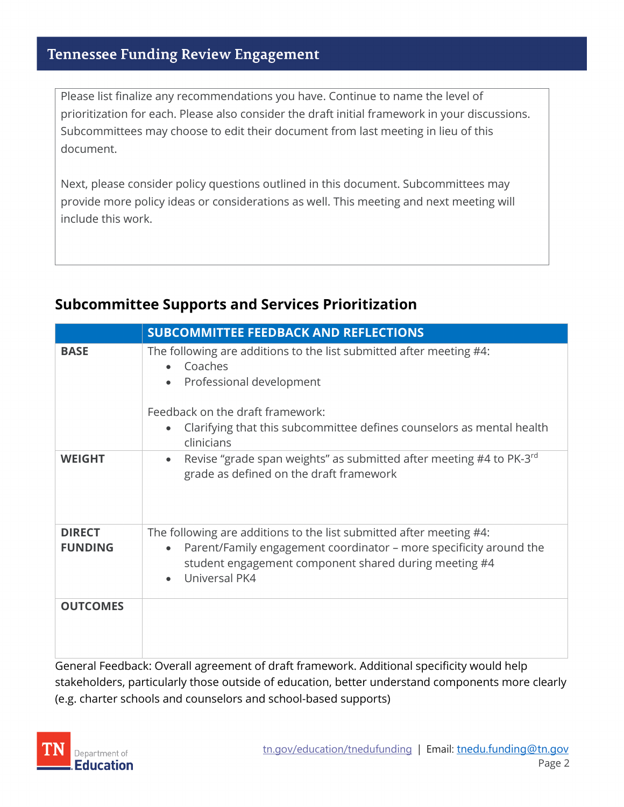Please list finalize any recommendations you have. Continue to name the level of prioritization for each. Please also consider the draft initial framework in your discussions. Subcommittees may choose to edit their document from last meeting in lieu of this document.

Next, please consider policy questions outlined in this document. Subcommittees may provide more policy ideas or considerations as well. This meeting and next meeting will include this work.

### **Subcommittee Supports and Services Prioritization**

|                                 | <b>SUBCOMMITTEE FEEDBACK AND REFLECTIONS</b>                                                                                                                                                                                                                    |  |
|---------------------------------|-----------------------------------------------------------------------------------------------------------------------------------------------------------------------------------------------------------------------------------------------------------------|--|
| <b>BASE</b>                     | The following are additions to the list submitted after meeting #4:<br>Coaches<br>$\bullet$<br>Professional development<br>$\bullet$<br>Feedback on the draft framework:<br>Clarifying that this subcommittee defines counselors as mental health<br>clinicians |  |
| <b>WEIGHT</b>                   | Revise "grade span weights" as submitted after meeting #4 to PK-3rd<br>$\bullet$<br>grade as defined on the draft framework                                                                                                                                     |  |
| <b>DIRECT</b><br><b>FUNDING</b> | The following are additions to the list submitted after meeting #4:<br>Parent/Family engagement coordinator - more specificity around the<br>$\bullet$<br>student engagement component shared during meeting #4<br>Universal PK4                                |  |
| <b>OUTCOMES</b>                 | Canaral Feedbaaks Overall agreement of droft framewerk, Additional anogificity weuld help                                                                                                                                                                       |  |

General Feedback: Overall agreement of draft framework. Additional specificity would help stakeholders, particularly those outside of education, better understand components more clearly (e.g. charter schools and counselors and school-based supports)

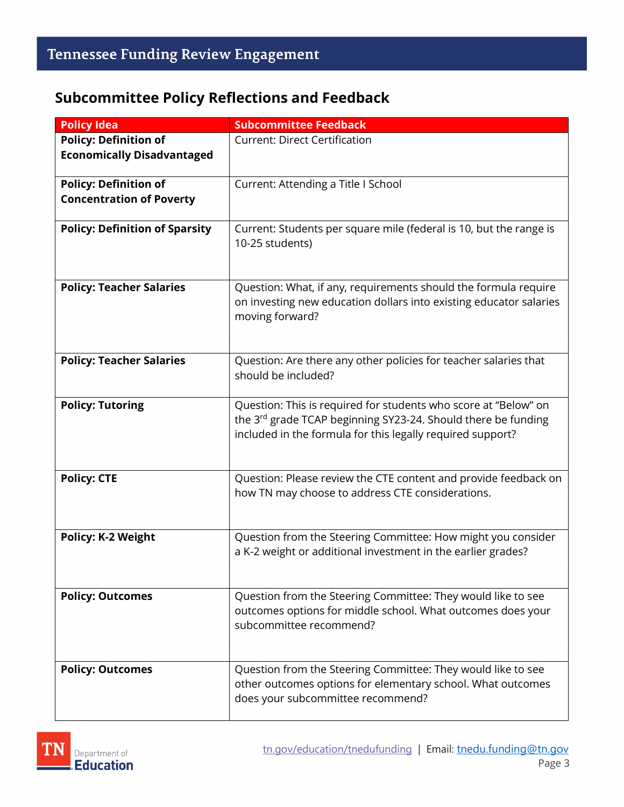#### **Subcommittee Policy Reflections and Feedback**

| <b>Policy Idea</b>                    | <b>Subcommittee Feedback</b>                                                                                                                                                                   |
|---------------------------------------|------------------------------------------------------------------------------------------------------------------------------------------------------------------------------------------------|
| <b>Policy: Definition of</b>          | <b>Current: Direct Certification</b>                                                                                                                                                           |
| <b>Economically Disadvantaged</b>     |                                                                                                                                                                                                |
| <b>Policy: Definition of</b>          | Current: Attending a Title I School                                                                                                                                                            |
| <b>Concentration of Poverty</b>       |                                                                                                                                                                                                |
| <b>Policy: Definition of Sparsity</b> | Current: Students per square mile (federal is 10, but the range is<br>10-25 students)                                                                                                          |
| <b>Policy: Teacher Salaries</b>       | Question: What, if any, requirements should the formula require<br>on investing new education dollars into existing educator salaries<br>moving forward?                                       |
| <b>Policy: Teacher Salaries</b>       | Question: Are there any other policies for teacher salaries that<br>should be included?                                                                                                        |
| <b>Policy: Tutoring</b>               | Question: This is required for students who score at "Below" on<br>the 3rd grade TCAP beginning SY23-24. Should there be funding<br>included in the formula for this legally required support? |
| <b>Policy: CTE</b>                    | Question: Please review the CTE content and provide feedback on<br>how TN may choose to address CTE considerations.                                                                            |
| <b>Policy: K-2 Weight</b>             | Question from the Steering Committee: How might you consider<br>a K-2 weight or additional investment in the earlier grades?                                                                   |
| <b>Policy: Outcomes</b>               | Question from the Steering Committee: They would like to see<br>outcomes options for middle school. What outcomes does your<br>subcommittee recommend?                                         |
| <b>Policy: Outcomes</b>               | Question from the Steering Committee: They would like to see<br>other outcomes options for elementary school. What outcomes<br>does your subcommittee recommend?                               |

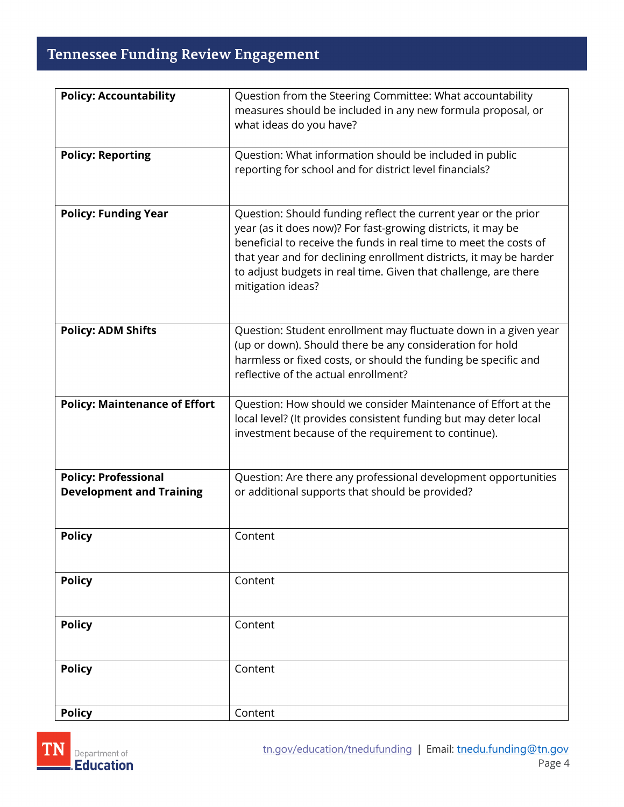## **Tennessee Funding Review Engagement**

| <b>Policy: Accountability</b>        | Question from the Steering Committee: What accountability                                                                             |  |
|--------------------------------------|---------------------------------------------------------------------------------------------------------------------------------------|--|
|                                      | measures should be included in any new formula proposal, or<br>what ideas do you have?                                                |  |
|                                      |                                                                                                                                       |  |
| <b>Policy: Reporting</b>             | Question: What information should be included in public                                                                               |  |
|                                      | reporting for school and for district level financials?                                                                               |  |
|                                      |                                                                                                                                       |  |
| <b>Policy: Funding Year</b>          | Question: Should funding reflect the current year or the prior                                                                        |  |
|                                      | year (as it does now)? For fast-growing districts, it may be                                                                          |  |
|                                      | beneficial to receive the funds in real time to meet the costs of                                                                     |  |
|                                      | that year and for declining enrollment districts, it may be harder<br>to adjust budgets in real time. Given that challenge, are there |  |
|                                      | mitigation ideas?                                                                                                                     |  |
|                                      |                                                                                                                                       |  |
| <b>Policy: ADM Shifts</b>            | Question: Student enrollment may fluctuate down in a given year                                                                       |  |
|                                      | (up or down). Should there be any consideration for hold                                                                              |  |
|                                      | harmless or fixed costs, or should the funding be specific and                                                                        |  |
|                                      | reflective of the actual enrollment?                                                                                                  |  |
| <b>Policy: Maintenance of Effort</b> | Question: How should we consider Maintenance of Effort at the                                                                         |  |
|                                      | local level? (It provides consistent funding but may deter local                                                                      |  |
|                                      | investment because of the requirement to continue).                                                                                   |  |
|                                      |                                                                                                                                       |  |
| <b>Policy: Professional</b>          | Question: Are there any professional development opportunities                                                                        |  |
| <b>Development and Training</b>      | or additional supports that should be provided?                                                                                       |  |
|                                      |                                                                                                                                       |  |
| <b>Policy</b>                        | Content                                                                                                                               |  |
|                                      |                                                                                                                                       |  |
| <b>Policy</b>                        | Content                                                                                                                               |  |
|                                      |                                                                                                                                       |  |
| <b>Policy</b>                        | Content                                                                                                                               |  |
|                                      |                                                                                                                                       |  |
|                                      |                                                                                                                                       |  |
| <b>Policy</b>                        | Content                                                                                                                               |  |
|                                      |                                                                                                                                       |  |
| <b>Policy</b>                        | Content                                                                                                                               |  |